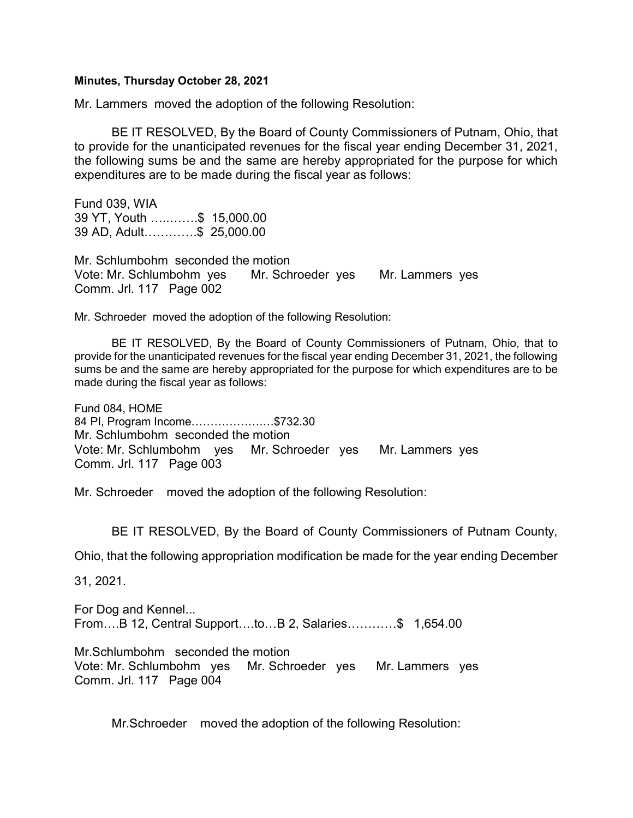## Minutes, Thursday October 28, 2021

Mr. Lammers moved the adoption of the following Resolution:

 BE IT RESOLVED, By the Board of County Commissioners of Putnam, Ohio, that to provide for the unanticipated revenues for the fiscal year ending December 31, 2021, the following sums be and the same are hereby appropriated for the purpose for which expenditures are to be made during the fiscal year as follows:

Fund 039, WIA 39 YT, Youth …..…….\$ 15,000.00 39 AD, Adult………….\$ 25,000.00

Mr. Schlumbohm seconded the motion Vote: Mr. Schlumbohm yes Mr. Schroeder yes Mr. Lammers yes Comm. Jrl. 117 Page 002

Mr. Schroeder moved the adoption of the following Resolution:

 BE IT RESOLVED, By the Board of County Commissioners of Putnam, Ohio, that to provide for the unanticipated revenues for the fiscal year ending December 31, 2021, the following sums be and the same are hereby appropriated for the purpose for which expenditures are to be made during the fiscal year as follows:

Fund 084, HOME 84 PI, Program Income……………….…\$732.30 Mr. Schlumbohm seconded the motion Vote: Mr. Schlumbohm yes Mr. Schroeder yes Mr. Lammers yes Comm. Jrl. 117 Page 003

Mr. Schroeder moved the adoption of the following Resolution:

BE IT RESOLVED, By the Board of County Commissioners of Putnam County,

Ohio, that the following appropriation modification be made for the year ending December

31, 2021.

For Dog and Kennel... From….B 12, Central Support….to…B 2, Salaries…………\$ 1,654.00

Mr.Schlumbohm seconded the motion Vote: Mr. Schlumbohm yes Mr. Schroeder yes Mr. Lammers yes Comm. Jrl. 117 Page 004

Mr.Schroeder moved the adoption of the following Resolution: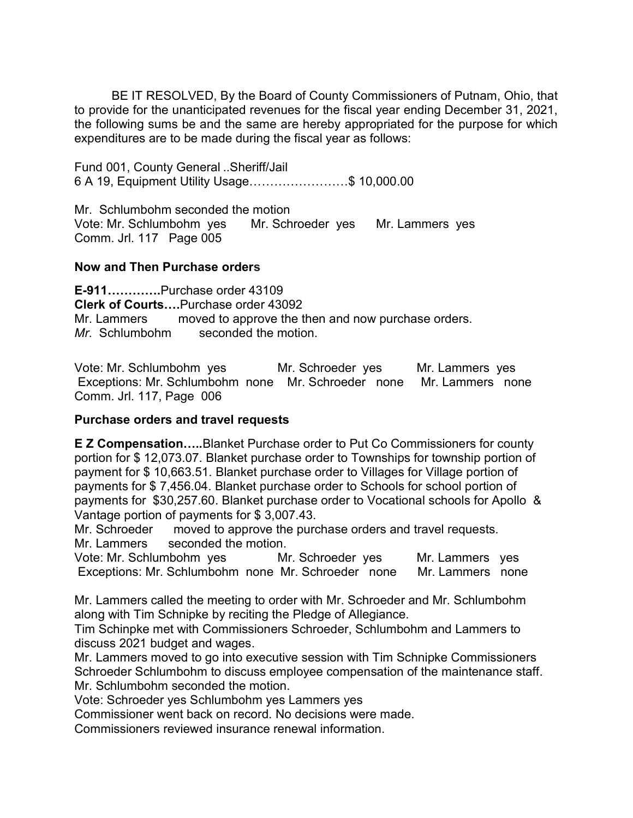BE IT RESOLVED, By the Board of County Commissioners of Putnam, Ohio, that to provide for the unanticipated revenues for the fiscal year ending December 31, 2021, the following sums be and the same are hereby appropriated for the purpose for which expenditures are to be made during the fiscal year as follows:

Fund 001, County General ..Sheriff/Jail 6 A 19, Equipment Utility Usage……………………\$ 10,000.00

Mr. Schlumbohm seconded the motion Vote: Mr. Schlumbohm yes Mr. Schroeder yes Mr. Lammers yes Comm. Jrl. 117 Page 005

## Now and Then Purchase orders

E-911………….Purchase order 43109 Clerk of Courts….Purchase order 43092 Mr. Lammers moved to approve the then and now purchase orders. Mr. Schlumbohm seconded the motion.

Vote: Mr. Schlumbohm yes Mr. Schroeder yes Mr. Lammers yes Exceptions: Mr. Schlumbohm none Mr. Schroeder none Mr. Lammers none Comm. Jrl. 117, Page 006

## Purchase orders and travel requests

E Z Compensation…..Blanket Purchase order to Put Co Commissioners for county portion for \$ 12,073.07. Blanket purchase order to Townships for township portion of payment for \$ 10,663.51. Blanket purchase order to Villages for Village portion of payments for \$ 7,456.04. Blanket purchase order to Schools for school portion of payments for \$30,257.60. Blanket purchase order to Vocational schools for Apollo & Vantage portion of payments for \$ 3,007.43.

Mr. Schroeder moved to approve the purchase orders and travel requests. Mr. Lammers seconded the motion.

Vote: Mr. Schlumbohm yes Mr. Schroeder yes Mr. Lammers yes Exceptions: Mr. Schlumbohm none Mr. Schroeder none Mr. Lammers none

Mr. Lammers called the meeting to order with Mr. Schroeder and Mr. Schlumbohm along with Tim Schnipke by reciting the Pledge of Allegiance.

Tim Schinpke met with Commissioners Schroeder, Schlumbohm and Lammers to discuss 2021 budget and wages.

Mr. Lammers moved to go into executive session with Tim Schnipke Commissioners Schroeder Schlumbohm to discuss employee compensation of the maintenance staff. Mr. Schlumbohm seconded the motion.

Vote: Schroeder yes Schlumbohm yes Lammers yes

Commissioner went back on record. No decisions were made.

Commissioners reviewed insurance renewal information.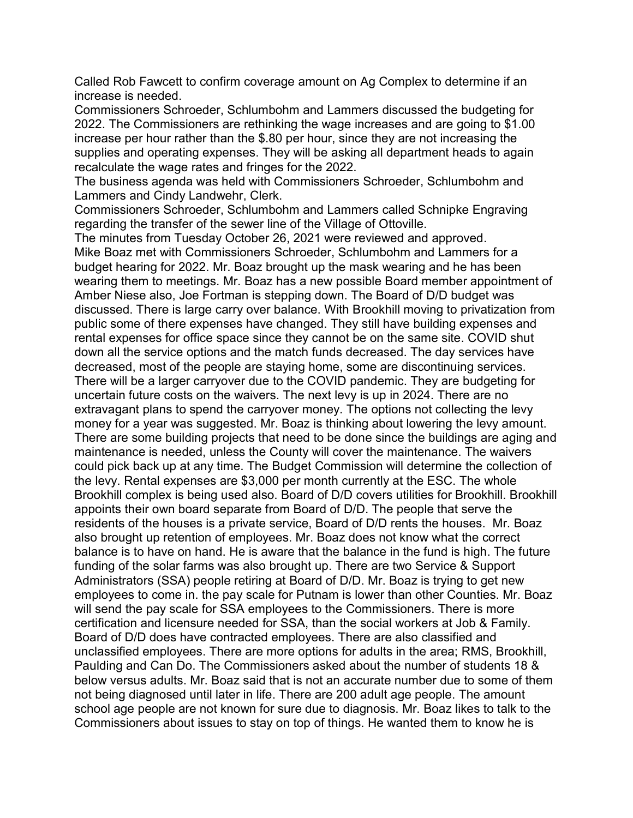Called Rob Fawcett to confirm coverage amount on Ag Complex to determine if an increase is needed.

Commissioners Schroeder, Schlumbohm and Lammers discussed the budgeting for 2022. The Commissioners are rethinking the wage increases and are going to \$1.00 increase per hour rather than the \$.80 per hour, since they are not increasing the supplies and operating expenses. They will be asking all department heads to again recalculate the wage rates and fringes for the 2022.

The business agenda was held with Commissioners Schroeder, Schlumbohm and Lammers and Cindy Landwehr, Clerk.

Commissioners Schroeder, Schlumbohm and Lammers called Schnipke Engraving regarding the transfer of the sewer line of the Village of Ottoville.

The minutes from Tuesday October 26, 2021 were reviewed and approved.

Mike Boaz met with Commissioners Schroeder, Schlumbohm and Lammers for a budget hearing for 2022. Mr. Boaz brought up the mask wearing and he has been wearing them to meetings. Mr. Boaz has a new possible Board member appointment of Amber Niese also, Joe Fortman is stepping down. The Board of D/D budget was discussed. There is large carry over balance. With Brookhill moving to privatization from public some of there expenses have changed. They still have building expenses and rental expenses for office space since they cannot be on the same site. COVID shut down all the service options and the match funds decreased. The day services have decreased, most of the people are staying home, some are discontinuing services. There will be a larger carryover due to the COVID pandemic. They are budgeting for uncertain future costs on the waivers. The next levy is up in 2024. There are no extravagant plans to spend the carryover money. The options not collecting the levy money for a year was suggested. Mr. Boaz is thinking about lowering the levy amount. There are some building projects that need to be done since the buildings are aging and maintenance is needed, unless the County will cover the maintenance. The waivers could pick back up at any time. The Budget Commission will determine the collection of the levy. Rental expenses are \$3,000 per month currently at the ESC. The whole Brookhill complex is being used also. Board of D/D covers utilities for Brookhill. Brookhill appoints their own board separate from Board of D/D. The people that serve the residents of the houses is a private service, Board of D/D rents the houses. Mr. Boaz also brought up retention of employees. Mr. Boaz does not know what the correct balance is to have on hand. He is aware that the balance in the fund is high. The future funding of the solar farms was also brought up. There are two Service & Support Administrators (SSA) people retiring at Board of D/D. Mr. Boaz is trying to get new employees to come in. the pay scale for Putnam is lower than other Counties. Mr. Boaz will send the pay scale for SSA employees to the Commissioners. There is more certification and licensure needed for SSA, than the social workers at Job & Family. Board of D/D does have contracted employees. There are also classified and unclassified employees. There are more options for adults in the area; RMS, Brookhill, Paulding and Can Do. The Commissioners asked about the number of students 18 & below versus adults. Mr. Boaz said that is not an accurate number due to some of them not being diagnosed until later in life. There are 200 adult age people. The amount school age people are not known for sure due to diagnosis. Mr. Boaz likes to talk to the Commissioners about issues to stay on top of things. He wanted them to know he is